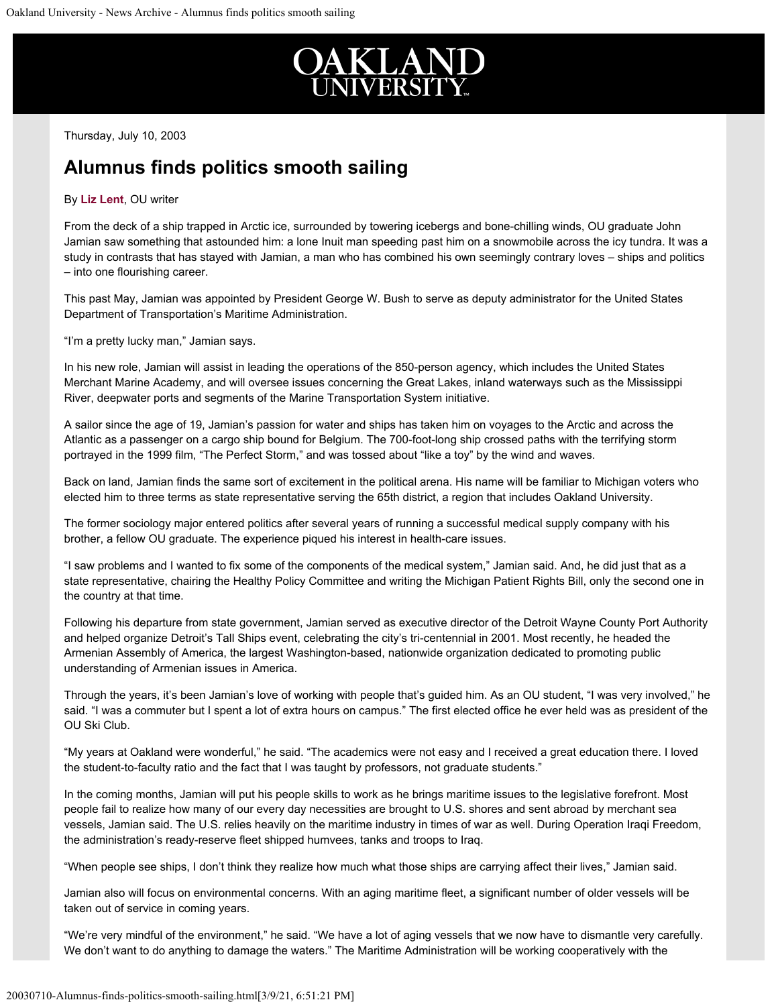

Thursday, July 10, 2003

## **Alumnus finds politics smooth sailing**

## By **[Liz Lent](mailto:lent@oakland.edu)**, OU writer

From the deck of a ship trapped in Arctic ice, surrounded by towering icebergs and bone-chilling winds, OU graduate John Jamian saw something that astounded him: a lone Inuit man speeding past him on a snowmobile across the icy tundra. It was a study in contrasts that has stayed with Jamian, a man who has combined his own seemingly contrary loves – ships and politics – into one flourishing career.

This past May, Jamian was appointed by President George W. Bush to serve as deputy administrator for the United States Department of Transportation's Maritime Administration.

"I'm a pretty lucky man," Jamian says.

In his new role, Jamian will assist in leading the operations of the 850-person agency, which includes the United States Merchant Marine Academy, and will oversee issues concerning the Great Lakes, inland waterways such as the Mississippi River, deepwater ports and segments of the Marine Transportation System initiative.

A sailor since the age of 19, Jamian's passion for water and ships has taken him on voyages to the Arctic and across the Atlantic as a passenger on a cargo ship bound for Belgium. The 700-foot-long ship crossed paths with the terrifying storm portrayed in the 1999 film, "The Perfect Storm," and was tossed about "like a toy" by the wind and waves.

Back on land, Jamian finds the same sort of excitement in the political arena. His name will be familiar to Michigan voters who elected him to three terms as state representative serving the 65th district, a region that includes Oakland University.

The former sociology major entered politics after several years of running a successful medical supply company with his brother, a fellow OU graduate. The experience piqued his interest in health-care issues.

"I saw problems and I wanted to fix some of the components of the medical system," Jamian said. And, he did just that as a state representative, chairing the Healthy Policy Committee and writing the Michigan Patient Rights Bill, only the second one in the country at that time.

Following his departure from state government, Jamian served as executive director of the Detroit Wayne County Port Authority and helped organize Detroit's Tall Ships event, celebrating the city's tri-centennial in 2001. Most recently, he headed the Armenian Assembly of America, the largest Washington-based, nationwide organization dedicated to promoting public understanding of Armenian issues in America.

Through the years, it's been Jamian's love of working with people that's guided him. As an OU student, "I was very involved," he said. "I was a commuter but I spent a lot of extra hours on campus." The first elected office he ever held was as president of the OU Ski Club.

"My years at Oakland were wonderful," he said. "The academics were not easy and I received a great education there. I loved the student-to-faculty ratio and the fact that I was taught by professors, not graduate students."

In the coming months, Jamian will put his people skills to work as he brings maritime issues to the legislative forefront. Most people fail to realize how many of our every day necessities are brought to U.S. shores and sent abroad by merchant sea vessels, Jamian said. The U.S. relies heavily on the maritime industry in times of war as well. During Operation Iraqi Freedom, the administration's ready-reserve fleet shipped humvees, tanks and troops to Iraq.

"When people see ships, I don't think they realize how much what those ships are carrying affect their lives," Jamian said.

Jamian also will focus on environmental concerns. With an aging maritime fleet, a significant number of older vessels will be taken out of service in coming years.

"We're very mindful of the environment," he said. "We have a lot of aging vessels that we now have to dismantle very carefully. We don't want to do anything to damage the waters." The Maritime Administration will be working cooperatively with the